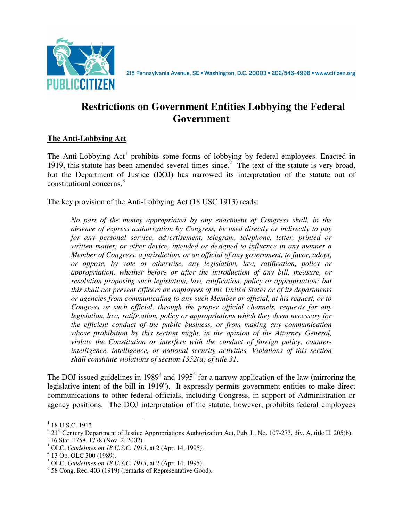

215 Pennsylvania Avenue, SE · Washington, D.C. 20003 · 202/546-4996 · www.citizen.org

# **Restrictions on Government Entities Lobbying the Federal Government**

## **The Anti-Lobbying Act**

The Anti-Lobbying  $Act<sup>1</sup>$  prohibits some forms of lobbying by federal employees. Enacted in 1919, this statute has been amended several times since.<sup>2</sup> The text of the statute is very broad, but the Department of Justice (DOJ) has narrowed its interpretation of the statute out of constitutional concerns.<sup>3</sup>

The key provision of the Anti-Lobbying Act (18 USC 1913) reads:

*No part of the money appropriated by any enactment of Congress shall, in the absence of express authorization by Congress, be used directly or indirectly to pay for any personal service, advertisement, telegram, telephone, letter, printed or written matter, or other device, intended or designed to influence in any manner a Member of Congress, a jurisdiction, or an official of any government, to favor, adopt, or oppose, by vote or otherwise, any legislation, law, ratification, policy or appropriation, whether before or after the introduction of any bill, measure, or resolution proposing such legislation, law, ratification, policy or appropriation; but this shall not prevent officers or employees of the United States or of its departments or agencies from communicating to any such Member or official, at his request, or to Congress or such official, through the proper official channels, requests for any legislation, law, ratification, policy or appropriations which they deem necessary for the efficient conduct of the public business, or from making any communication whose prohibition by this section might, in the opinion of the Attorney General, violate the Constitution or interfere with the conduct of foreign policy, counterintelligence, intelligence, or national security activities. Violations of this section shall constitute violations of section 1352(a) of title 31.*

The DOJ issued guidelines in 1989<sup>4</sup> and 1995<sup>5</sup> for a narrow application of the law (mirroring the legislative intent of the bill in 1919<sup>6</sup>). It expressly permits government entities to make direct communications to other federal officials, including Congress, in support of Administration or agency positions. The DOJ interpretation of the statute, however, prohibits federal employees

 $\overline{a}$  $1$  18 U.S.C. 1913

 $2^{2}$  21<sup>st</sup> Century Department of Justice Appropriations Authorization Act, Pub. L. No. 107-273, div. A, title II, 205(b), 116 Stat. 1758, 1778 (Nov. 2, 2002).

<sup>3</sup> OLC, *Guidelines on 18 U.S.C. 1913*, at 2 (Apr. 14, 1995).

<sup>4</sup> 13 Op. OLC 300 (1989).

<sup>5</sup> OLC, *Guidelines on 18 U.S.C. 1913*, at 2 (Apr. 14, 1995).

<sup>6</sup> 58 Cong. Rec. 403 (1919) (remarks of Representative Good).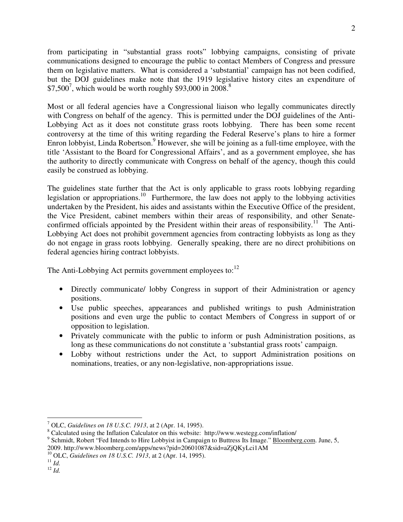from participating in "substantial grass roots" lobbying campaigns, consisting of private communications designed to encourage the public to contact Members of Congress and pressure them on legislative matters. What is considered a 'substantial' campaign has not been codified, but the DOJ guidelines make note that the 1919 legislative history cites an expenditure of  $$7,500^7$ , which would be worth roughly \$93,000 in 2008.<sup>8</sup>

Most or all federal agencies have a Congressional liaison who legally communicates directly with Congress on behalf of the agency. This is permitted under the DOJ guidelines of the Anti-Lobbying Act as it does not constitute grass roots lobbying. There has been some recent controversy at the time of this writing regarding the Federal Reserve's plans to hire a former Enron lobbyist, Linda Robertson.<sup>9</sup> However, she will be joining as a full-time employee, with the title 'Assistant to the Board for Congressional Affairs', and as a government employee, she has the authority to directly communicate with Congress on behalf of the agency, though this could easily be construed as lobbying.

The guidelines state further that the Act is only applicable to grass roots lobbying regarding legislation or appropriations.<sup>10</sup> Furthermore, the law does not apply to the lobbying activities undertaken by the President, his aides and assistants within the Executive Office of the president, the Vice President, cabinet members within their areas of responsibility, and other Senateconfirmed officials appointed by the President within their areas of responsibility.<sup>11</sup> The Anti-Lobbying Act does not prohibit government agencies from contracting lobbyists as long as they do not engage in grass roots lobbying. Generally speaking, there are no direct prohibitions on federal agencies hiring contract lobbyists.

The Anti-Lobbying Act permits government employees to: $^{12}$ 

- Directly communicate/ lobby Congress in support of their Administration or agency positions.
- Use public speeches, appearances and published writings to push Administration positions and even urge the public to contact Members of Congress in support of or opposition to legislation.
- Privately communicate with the public to inform or push Administration positions, as long as these communications do not constitute a 'substantial grass roots' campaign.
- Lobby without restrictions under the Act, to support Administration positions on nominations, treaties, or any non-legislative, non-appropriations issue.

 $\overline{a}$ 7 OLC, *Guidelines on 18 U.S.C. 1913*, at 2 (Apr. 14, 1995).

<sup>&</sup>lt;sup>8</sup> Calculated using the Inflation Calculator on this website: http://www.westegg.com/inflation/

<sup>&</sup>lt;sup>9</sup> Schmidt, Robert "Fed Intends to Hire Lobbyist in Campaign to Buttress Its Image." Bloomberg.com. June, 5, 2009. http://www.bloomberg.com/apps/news?pid=20601087&sid=aZjQKyLci1AM

<sup>10</sup> OLC, *Guidelines on 18 U.S.C. 1913*, at 2 (Apr. 14, 1995).

 $^{11}$  *Id.* <sup>12</sup> *Id.*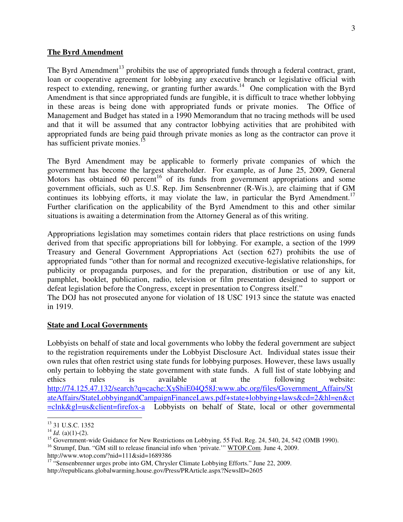#### **The Byrd Amendment**

The Byrd Amendment<sup>13</sup> prohibits the use of appropriated funds through a federal contract, grant, loan or cooperative agreement for lobbying any executive branch or legislative official with respect to extending, renewing, or granting further awards.<sup>14</sup> One complication with the Byrd Amendment is that since appropriated funds are fungible, it is difficult to trace whether lobbying in these areas is being done with appropriated funds or private monies. The Office of Management and Budget has stated in a 1990 Memorandum that no tracing methods will be used and that it will be assumed that any contractor lobbying activities that are prohibited with appropriated funds are being paid through private monies as long as the contractor can prove it has sufficient private monies.<sup>15</sup>

The Byrd Amendment may be applicable to formerly private companies of which the government has become the largest shareholder. For example, as of June 25, 2009, General Motors has obtained 60 percent<sup>16</sup> of its funds from government appropriations and some government officials, such as U.S. Rep. Jim Sensenbrenner (R-Wis.), are claiming that if GM continues its lobbying efforts, it may violate the law, in particular the Byrd Amendment.<sup>17</sup> Further clarification on the applicability of the Byrd Amendment to this and other similar situations is awaiting a determination from the Attorney General as of this writing.

Appropriations legislation may sometimes contain riders that place restrictions on using funds derived from that specific appropriations bill for lobbying. For example, a section of the 1999 Treasury and General Government Appropriations Act (section 627) prohibits the use of appropriated funds "other than for normal and recognized executive-legislative relationships, for publicity or propaganda purposes, and for the preparation, distribution or use of any kit, pamphlet, booklet, publication, radio, television or film presentation designed to support or defeat legislation before the Congress, except in presentation to Congress itself."

The DOJ has not prosecuted anyone for violation of 18 USC 1913 since the statute was enacted in 1919.

#### **State and Local Governments**

Lobbyists on behalf of state and local governments who lobby the federal government are subject to the registration requirements under the Lobbyist Disclosure Act. Individual states issue their own rules that often restrict using state funds for lobbying purposes. However, these laws usually only pertain to lobbying the state government with state funds. A full list of state lobbying and ethics rules is available at the following website: http://74.125.47.132/search?q=cache:XyShiE04Q58J:www.abc.org/files/Government\_Affairs/St ateAffairs/StateLobbyingandCampaignFinanceLaws.pdf+state+lobbying+laws&cd=2&hl=en&ct =clnk&gl=us&client=firefox-a Lobbyists on behalf of State, local or other governmental

<sup>16</sup> Strumpf, Dan. "GM still to release financial info when 'private." WTOP.Com. June 4, 2009.

 $\overline{a}$ <sup>13</sup> 31 U.S.C. 1352

 $14$  *Id.* (a)(1)-(2).

<sup>&</sup>lt;sup>15</sup> Government-wide Guidance for New Restrictions on Lobbying, 55 Fed. Reg. 24, 540, 24, 542 (OMB 1990).

http://www.wtop.com/?nid=111&sid=1689386

<sup>&</sup>lt;sup>17</sup> "Sensenbrenner urges probe into GM, Chrysler Climate Lobbying Efforts." June 22, 2009. http://republicans.globalwarming.house.gov/Press/PRArticle.aspx?NewsID=2605